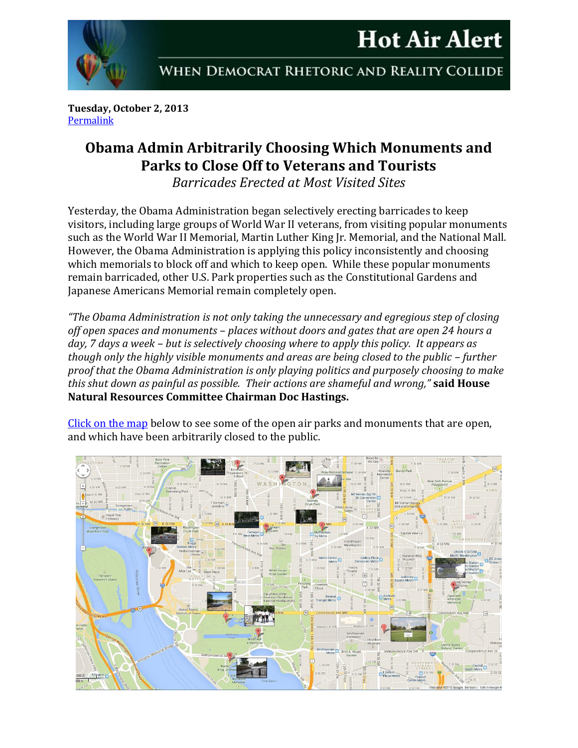



WHEN DEMOCRAT RHETORIC AND REALITY COLLIDE

**Tuesday, October 2, 2013** [Permalink](http://naturalresources.house.gov/news/documentsingle.aspx?DocumentID=352053)

## **Obama Admin Arbitrarily Choosing Which Monuments and Parks to Close Off to Veterans and Tourists**

*Barricades Erected at Most Visited Sites*

Yesterday, the Obama Administration began selectively erecting barricades to keep visitors, including large groups of World War II veterans, from visiting popular monuments such as the World War II Memorial, Martin Luther King Jr. Memorial, and the National Mall. However, the Obama Administration is applying this policy inconsistently and choosing which memorials to block off and which to keep open. While these popular monuments remain barricaded, other U.S. Park properties such as the Constitutional Gardens and Japanese Americans Memorial remain completely open.

*"The Obama Administration is not only taking the unnecessary and egregious step of closing off open spaces and monuments – places without doors and gates that are open 24 hours a day, 7 days a week – but is selectively choosing where to apply this policy. It appears as though only the highly visible monuments and areas are being closed to the public – further proof that the Obama Administration is only playing politics and purposely choosing to make this shut down as painful as possible. Their actions are shameful and wrong,"* **said House Natural Resources Committee Chairman Doc Hastings.**

[Click on the map](http://naturalresources.house.gov/news/documentsingle.aspx?DocumentID=352053) below to see some of the open air parks and monuments that are open, and which have been arbitrarily closed to the public.